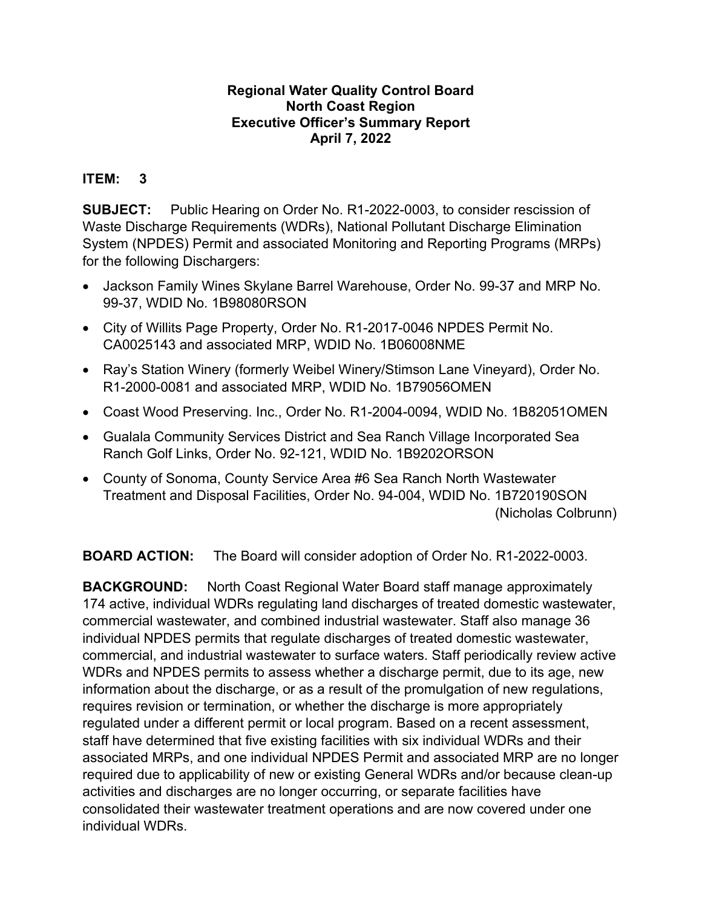## **Regional Water Quality Control Board North Coast Region Executive Officer's Summary Report April 7, 2022**

## **ITEM: 3**

**SUBJECT:** Public Hearing on Order No. R1-2022-0003, to consider rescission of Waste Discharge Requirements (WDRs), National Pollutant Discharge Elimination System (NPDES) Permit and associated Monitoring and Reporting Programs (MRPs) for the following Dischargers:

- · Jackson Family Wines Skylane Barrel Warehouse, Order No. 99-37 and MRP No. 99-37, WDID No. 1B98080RSON
- · City of Willits Page Property, Order No. R1-2017-0046 NPDES Permit No. CA0025143 and associated MRP, WDID No. 1B06008NME
- · Ray's Station Winery (formerly Weibel Winery/Stimson Lane Vineyard), Order No. R1-2000-0081 and associated MRP, WDID No. 1B79056OMEN
- · Coast Wood Preserving. Inc., Order No. R1-2004-0094, WDID No. 1B82051OMEN
- · Gualala Community Services District and Sea Ranch Village Incorporated Sea Ranch Golf Links, Order No. 92-121, WDID No. 1B9202ORSON
- · County of Sonoma, County Service Area #6 Sea Ranch North Wastewater Treatment and Disposal Facilities, Order No. 94-004, WDID No. 1B720190SON (Nicholas Colbrunn)

**BOARD ACTION:** The Board will consider adoption of Order No. R1-2022-0003.

**BACKGROUND:** North Coast Regional Water Board staff manage approximately 174 active, individual WDRs regulating land discharges of treated domestic wastewater, commercial wastewater, and combined industrial wastewater. Staff also manage 36 individual NPDES permits that regulate discharges of treated domestic wastewater, commercial, and industrial wastewater to surface waters. Staff periodically review active WDRs and NPDES permits to assess whether a discharge permit, due to its age, new information about the discharge, or as a result of the promulgation of new regulations, requires revision or termination, or whether the discharge is more appropriately regulated under a different permit or local program. Based on a recent assessment, staff have determined that five existing facilities with six individual WDRs and their associated MRPs, and one individual NPDES Permit and associated MRP are no longer required due to applicability of new or existing General WDRs and/or because clean-up activities and discharges are no longer occurring, or separate facilities have consolidated their wastewater treatment operations and are now covered under one individual WDRs.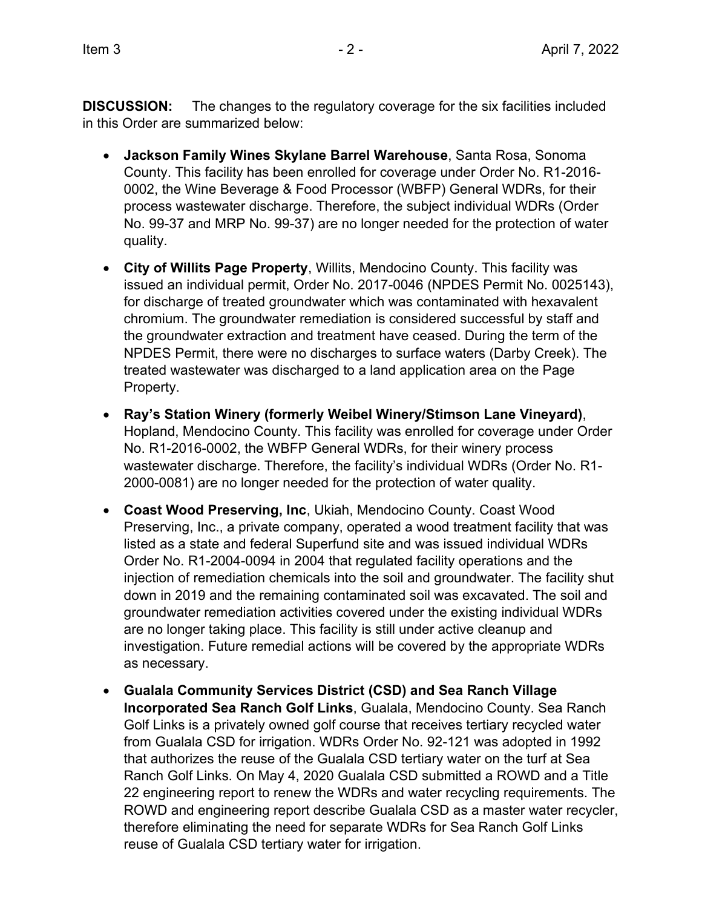**DISCUSSION:** The changes to the regulatory coverage for the six facilities included in this Order are summarized below:

- · **Jackson Family Wines Skylane Barrel Warehouse**, Santa Rosa, Sonoma County. This facility has been enrolled for coverage under Order No. R1-2016- 0002, the Wine Beverage & Food Processor (WBFP) General WDRs, for their process wastewater discharge. Therefore, the subject individual WDRs (Order No. 99-37 and MRP No. 99-37) are no longer needed for the protection of water quality.
- · **City of Willits Page Property**, Willits, Mendocino County. This facility was issued an individual permit, Order No. 2017-0046 (NPDES Permit No. 0025143), for discharge of treated groundwater which was contaminated with hexavalent chromium. The groundwater remediation is considered successful by staff and the groundwater extraction and treatment have ceased. During the term of the NPDES Permit, there were no discharges to surface waters (Darby Creek). The treated wastewater was discharged to a land application area on the Page Property.
- · **Ray's Station Winery (formerly Weibel Winery/Stimson Lane Vineyard)**, Hopland, Mendocino County. This facility was enrolled for coverage under Order No. R1-2016-0002, the WBFP General WDRs, for their winery process wastewater discharge. Therefore, the facility's individual WDRs (Order No. R1- 2000-0081) are no longer needed for the protection of water quality.
- · **Coast Wood Preserving, Inc**, Ukiah, Mendocino County. Coast Wood Preserving, Inc., a private company, operated a wood treatment facility that was listed as a state and federal Superfund site and was issued individual WDRs Order No. R1-2004-0094 in 2004 that regulated facility operations and the injection of remediation chemicals into the soil and groundwater. The facility shut down in 2019 and the remaining contaminated soil was excavated. The soil and groundwater remediation activities covered under the existing individual WDRs are no longer taking place. This facility is still under active cleanup and investigation. Future remedial actions will be covered by the appropriate WDRs as necessary.
- · **Gualala Community Services District (CSD) and Sea Ranch Village Incorporated Sea Ranch Golf Links**, Gualala, Mendocino County. Sea Ranch Golf Links is a privately owned golf course that receives tertiary recycled water from Gualala CSD for irrigation. WDRs Order No. 92-121 was adopted in 1992 that authorizes the reuse of the Gualala CSD tertiary water on the turf at Sea Ranch Golf Links. On May 4, 2020 Gualala CSD submitted a ROWD and a Title 22 engineering report to renew the WDRs and water recycling requirements. The ROWD and engineering report describe Gualala CSD as a master water recycler, therefore eliminating the need for separate WDRs for Sea Ranch Golf Links reuse of Gualala CSD tertiary water for irrigation.